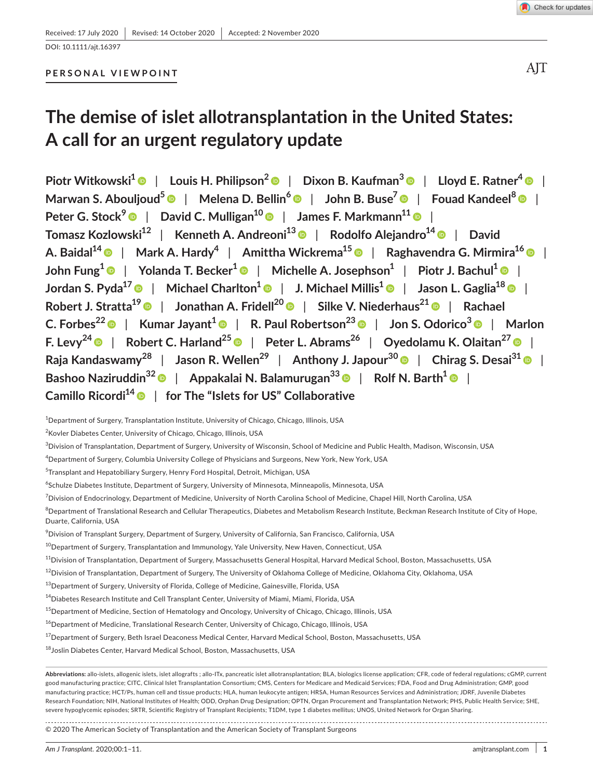DOI: 10.1111/ajt.16397

## **PERSONAL VIEWPOINT**

# **The demise of islet allotransplantation in the United States: A call for an urgent regulatory update**

**Piotr Witkowski[1](https://orcid.org/0000-0002-4459-6673)** | **Louis H. Philipson[2](https://orcid.org/0000-0002-2208-3607)** | **Dixon B. Kaufman3** | **Lloyd E. Ratner[4](https://orcid.org/0000-0002-1564-9617)** | **Marwan S. Abouljoud5** | **Melena D. Bellin[6](https://orcid.org/0000-0002-7324-4837)** | **John B. Buse[7](https://orcid.org/0000-0002-9723-3876)** | **Fouad Kandeel[8](https://orcid.org/0000-0003-3746-5015)** | **Peter G. Stock<sup>9</sup>** | **David C. Mulligan1[0](https://orcid.org/0000-0003-0901-2617)** | **James F. Markmann<sup>11</sup>** | **Tomasz Kozlowski<sup>12</sup>** | **Kenneth A. Andreoni1[3](https://orcid.org/0000-0002-3143-5010)** | **Rodolfo Alejandro1[4](https://orcid.org/0000-0003-4387-5360)** | **David A. Baidal1[4](https://orcid.org/0000-0001-7694-3265)** | **Mark A. Hardy4** | **Amittha Wickrema<sup>15</sup>** | **Raghavendra G. Mirmira<sup>16</sup>** | **John Fung[1](https://orcid.org/0000-0002-3038-0441)** | **Yolanda T. Becker<sup>1</sup>** | **Michelle A. Josephson<sup>1</sup>** | **Piotr J. Bachul[1](https://orcid.org/0000-0002-7694-1793)** | **Jordan S. Pyda<sup>17</sup>** | **Michael Charlton<sup>1</sup>** | **J. Michael Millis<sup>1</sup>** | **Jason L. Gaglia1[8](https://orcid.org/0000-0003-2904-312X)** | **Robert J. Stratta<sup>19</sup>** | **Jonathan A. Fridell2[0](https://orcid.org/0000-0002-8708-1506)** | **Silke V. Niederhaus2[1](https://orcid.org/0000-0003-3648-2999)** | **Rachael C. Forbes22** | **Kumar Jayant[1](https://orcid.org/0000-0003-0490-7323)** | **R. Paul Robertson2[3](https://orcid.org/0000-0002-9269-7786)** | **Jon S. Odorico<sup>3</sup>** | **Marlon F.** Levy<sup>2[4](https://orcid.org/0000-0002-3320-0493)</sup>  $\bullet$  | Robert C. Harland<sup>25</sup>  $\bullet$  | Peter L. Abrams<sup>26</sup> | Oyedolamu K. Olaitan<sup>2[7](https://orcid.org/0000-0002-5911-135X)</sup>  $\bullet$  | **Raja Kandaswamy<sup>28</sup>** | **Jason R. Wellen29** | **Anthony J. Japour<sup>30</sup>** | **Chirag S. Desai<sup>31</sup>** | **Bashoo Naziruddin3[2](https://orcid.org/0000-0002-0671-9572)** | **Appakalai N. Balamurugan3[3](https://orcid.org/0000-0001-5935-2914)** | **Rolf N. Barth<sup>1</sup>** | **Camillo Ricordi1[4](https://orcid.org/0000-0001-8092-7153)** | **for The "Islets for US" Collaborative**

 $^{\rm 1}$ Department of Surgery, Transplantation Institute, University of Chicago, Chicago, Illinois, USA

2 Kovler Diabetes Center, University of Chicago, Chicago, Illinois, USA

3 Division of Transplantation, Department of Surgery, University of Wisconsin, School of Medicine and Public Health, Madison, Wisconsin, USA

4 Department of Surgery, Columbia University College of Physicians and Surgeons, New York, New York, USA

5 Transplant and Hepatobiliary Surgery, Henry Ford Hospital, Detroit, Michigan, USA

6 Schulze Diabetes Institute, Department of Surgery, University of Minnesota, Minneapolis, Minnesota, USA

<sup>7</sup>Division of Endocrinology, Department of Medicine, University of North Carolina School of Medicine, Chapel Hill, North Carolina, USA

 $^8$ Department of Translational Research and Cellular Therapeutics, Diabetes and Metabolism Research Institute, Beckman Research Institute of City of Hope, Duarte, California, USA

9 Division of Transplant Surgery, Department of Surgery, University of California, San Francisco, California, USA

 $^{10}$ Department of Surgery, Transplantation and Immunology, Yale University, New Haven, Connecticut, USA

 $11$ Division of Transplantation, Department of Surgery, Massachusetts General Hospital, Harvard Medical School, Boston, Massachusetts, USA

 $^{12}$ Division of Transplantation, Department of Surgery, The University of Oklahoma College of Medicine, Oklahoma City, Oklahoma, USA

 $^{13}$ Department of Surgery, University of Florida, College of Medicine, Gainesville, Florida, USA

<sup>14</sup>Diabetes Research Institute and Cell Transplant Center, University of Miami, Miami, Florida, USA

<sup>15</sup>Department of Medicine, Section of Hematology and Oncology, University of Chicago, Chicago, Illinois, USA

<sup>16</sup>Department of Medicine, Translational Research Center, University of Chicago, Chicago, Illinois, USA

<sup>17</sup>Department of Surgery, Beth Israel Deaconess Medical Center, Harvard Medical School, Boston, Massachusetts, USA

<sup>18</sup>Joslin Diabetes Center, Harvard Medical School, Boston, Massachusetts, USA

**Abbreviations:** allo-islets, allogenic islets, islet allografts ; allo-ITx, pancreatic islet allotransplantation; BLA, biologics license application; CFR, code of federal regulations; cGMP, current good manufacturing practice; CITC, Clinical Islet Transplantation Consortium; CMS, Centers for Medicare and Medicaid Services; FDA, Food and Drug Administration; GMP, good manufacturing practice; HCT/Ps, human cell and tissue products; HLA, human leukocyte antigen; HRSA, Human Resources Services and Administration; JDRF, Juvenile Diabetes Research Foundation; NIH, National Institutes of Health; ODD, Orphan Drug Designation; OPTN, Organ Procurement and Transplantation Network; PHS, Public Health Service; SHE, severe hypoglycemic episodes; SRTR, Scientific Registry of Transplant Recipients; T1DM, type 1 diabetes mellitus; UNOS, United Network for Organ Sharing.

© 2020 The American Society of Transplantation and the American Society of Transplant Surgeons

AIT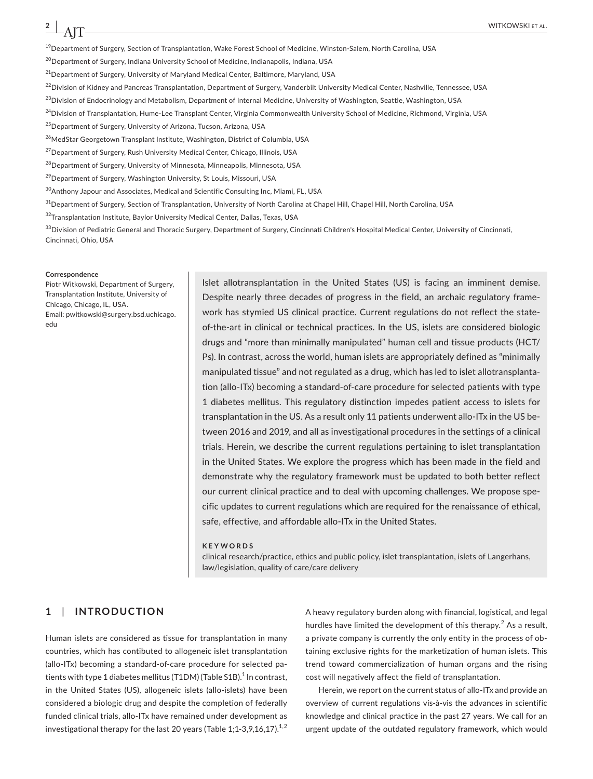$19$ Department of Surgery, Section of Transplantation, Wake Forest School of Medicine, Winston-Salem, North Carolina, USA

<sup>20</sup> Department of Surgery, Indiana University School of Medicine, Indianapolis, Indiana, USA

 $^{21}$ Department of Surgery, University of Maryland Medical Center, Baltimore, Maryland, USA

 $^{22}$ Division of Kidney and Pancreas Transplantation, Department of Surgery, Vanderbilt University Medical Center, Nashville, Tennessee, USA

 $^{23}$ Division of Endocrinology and Metabolism, Department of Internal Medicine, University of Washington, Seattle, Washington, USA

<sup>24</sup>Division of Transplantation, Hume-Lee Transplant Center, Virginia Commonwealth University School of Medicine, Richmond, Virginia, USA

<sup>25</sup> Department of Surgery, University of Arizona, Tucson, Arizona, USA

<sup>26</sup>MedStar Georgetown Transplant Institute, Washington, District of Columbia, USA

<sup>27</sup>Department of Surgery, Rush University Medical Center, Chicago, Illinois, USA

 $^{28}$ Department of Surgery, University of Minnesota, Minneapolis, Minnesota, USA

<sup>29</sup> Department of Surgery, Washington University, St Louis, Missouri, USA

<sup>30</sup>Anthony Japour and Associates, Medical and Scientific Consulting Inc, Miami, FL, USA

 $31$ Department of Surgery, Section of Transplantation, University of North Carolina at Chapel Hill, Chapel Hill, North Carolina, USA

32 Transplantation Institute, Baylor University Medical Center, Dallas, Texas, USA

 $\frac{33}$ Division of Pediatric General and Thoracic Surgery, Department of Surgery, Cincinnati Children's Hospital Medical Center, University of Cincinnati, Cincinnati, Ohio, USA

#### **Correspondence**

Piotr Witkowski, Department of Surgery, Transplantation Institute, University of Chicago, Chicago, IL, USA. Email: [pwitkowski@surgery.bsd.uchicago.](mailto:pwitkowski@surgery.bsd.uchicago.edu) [edu](mailto:pwitkowski@surgery.bsd.uchicago.edu)

Islet allotransplantation in the United States (US) is facing an imminent demise. Despite nearly three decades of progress in the field, an archaic regulatory framework has stymied US clinical practice. Current regulations do not reflect the stateof-the-art in clinical or technical practices. In the US, islets are considered biologic drugs and "more than minimally manipulated" human cell and tissue products (HCT/ Ps). In contrast, across the world, human islets are appropriately defined as "minimally manipulated tissue" and not regulated as a drug, which has led to islet allotransplantation (allo-ITx) becoming a standard-of-care procedure for selected patients with type 1 diabetes mellitus. This regulatory distinction impedes patient access to islets for transplantation in the US. As a result only 11 patients underwent allo-ITx in the US between 2016 and 2019, and all as investigational procedures in the settings of a clinical trials. Herein, we describe the current regulations pertaining to islet transplantation in the United States. We explore the progress which has been made in the field and demonstrate why the regulatory framework must be updated to both better reflect our current clinical practice and to deal with upcoming challenges. We propose specific updates to current regulations which are required for the renaissance of ethical, safe, effective, and affordable allo-ITx in the United States.

#### **KEYWORDS**

clinical research/practice, ethics and public policy, islet transplantation, islets of Langerhans, law/legislation, quality of care/care delivery

## **1**  | **INTRODUCTION**

Human islets are considered as tissue for transplantation in many countries, which has contibuted to allogeneic islet transplantation (allo-ITx) becoming a standard-of-care procedure for selected patients with type 1 diabetes mellitus (T1DM) (Table S1B). $^{\rm 1}$  In contrast, in the United States (US), allogeneic islets (allo-islets) have been considered a biologic drug and despite the completion of federally funded clinical trials, allo-ITx have remained under development as investigational therapy for the last 20 years (Table 1;1-3,9,16,17). $^{1,2}$  A heavy regulatory burden along with financial, logistical, and legal hurdles have limited the development of this therapy.<sup>2</sup> As a result, a private company is currently the only entity in the process of obtaining exclusive rights for the marketization of human islets. This trend toward commercialization of human organs and the rising cost will negatively affect the field of transplantation.

Herein, we report on the current status of allo-ITx and provide an overview of current regulations vis-à-vis the advances in scientific knowledge and clinical practice in the past 27 years. We call for an urgent update of the outdated regulatory framework, which would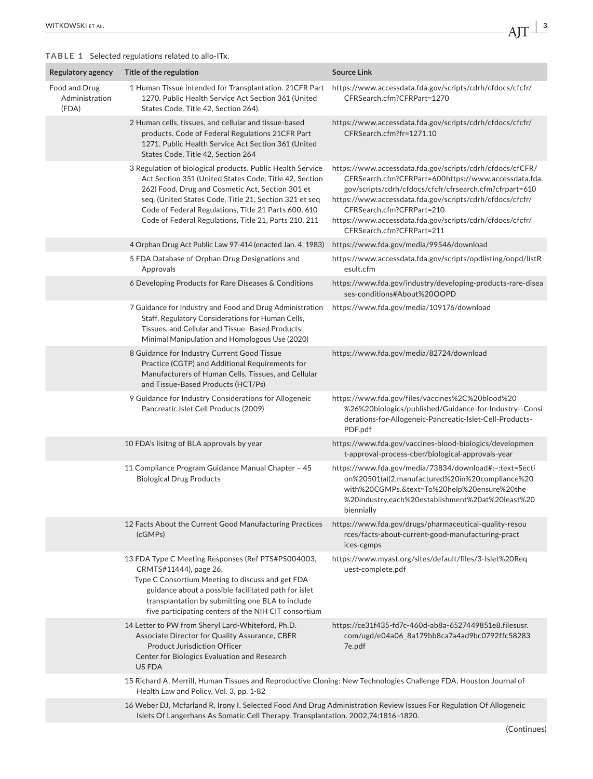## **TABLE 1** Selected regulations related to allo-ITx.

| Regulatory agency                        | Title of the regulation                                                                                                                                                                                                                                                                                                                             | <b>Source Link</b>                                                                                                                                                                                                                                                                                                                                               |  |  |  |
|------------------------------------------|-----------------------------------------------------------------------------------------------------------------------------------------------------------------------------------------------------------------------------------------------------------------------------------------------------------------------------------------------------|------------------------------------------------------------------------------------------------------------------------------------------------------------------------------------------------------------------------------------------------------------------------------------------------------------------------------------------------------------------|--|--|--|
| Food and Drug<br>Administration<br>(FDA) | 1 Human Tissue intended for Transplantation. 21CFR Part<br>1270. Public Health Service Act Section 361 (United<br>States Code, Title 42, Section 264).                                                                                                                                                                                              | https://www.accessdata.fda.gov/scripts/cdrh/cfdocs/cfcfr/<br>CFRSearch.cfm?CFRPart=1270                                                                                                                                                                                                                                                                          |  |  |  |
|                                          | 2 Human cells, tissues, and cellular and tissue-based<br>products. Code of Federal Regulations 21CFR Part<br>1271. Public Health Service Act Section 361 (United<br>States Code, Title 42, Section 264                                                                                                                                              | https://www.accessdata.fda.gov/scripts/cdrh/cfdocs/cfcfr/<br>CFRSearch.cfm?fr=1271.10                                                                                                                                                                                                                                                                            |  |  |  |
|                                          | 3 Regulation of biological products. Public Health Service<br>Act Section 351 (United States Code, Title 42, Section<br>262) Food, Drug and Cosmetic Act, Section 301 et<br>seq. (United States Code, Title 21, Section 321 et seq<br>Code of Federal Regulations, Title 21 Parts 600, 610<br>Code of Federal Regulations, Title 21, Parts 210, 211 | https://www.accessdata.fda.gov/scripts/cdrh/cfdocs/cfCFR/<br>CFRSearch.cfm?CFRPart=600https://www.accessdata.fda.<br>gov/scripts/cdrh/cfdocs/cfcfr/cfrsearch.cfm?cfrpart=610<br>https://www.accessdata.fda.gov/scripts/cdrh/cfdocs/cfcfr/<br>CFRSearch.cfm?CFRPart=210<br>https://www.accessdata.fda.gov/scripts/cdrh/cfdocs/cfcfr/<br>CFRSearch.cfm?CFRPart=211 |  |  |  |
|                                          | 4 Orphan Drug Act Public Law 97-414 (enacted Jan. 4, 1983)                                                                                                                                                                                                                                                                                          | https://www.fda.gov/media/99546/download                                                                                                                                                                                                                                                                                                                         |  |  |  |
|                                          | 5 FDA Database of Orphan Drug Designations and<br>Approvals                                                                                                                                                                                                                                                                                         | https://www.accessdata.fda.gov/scripts/opdlisting/oopd/listR<br>esult.cfm                                                                                                                                                                                                                                                                                        |  |  |  |
|                                          | 6 Developing Products for Rare Diseases & Conditions                                                                                                                                                                                                                                                                                                | https://www.fda.gov/industry/developing-products-rare-disea<br>ses-conditions#About%20OOPD                                                                                                                                                                                                                                                                       |  |  |  |
|                                          | 7 Guidance for Industry and Food and Drug Administration<br>Staff, Regulatory Considerations for Human Cells,<br>Tissues, and Cellular and Tissue- Based Products:<br>Minimal Manipulation and Homologous Use (2020)                                                                                                                                | https://www.fda.gov/media/109176/download                                                                                                                                                                                                                                                                                                                        |  |  |  |
|                                          | 8 Guidance for Industry Current Good Tissue<br>Practice (CGTP) and Additional Requirements for<br>Manufacturers of Human Cells, Tissues, and Cellular<br>and Tissue-Based Products (HCT/Ps)                                                                                                                                                         | https://www.fda.gov/media/82724/download                                                                                                                                                                                                                                                                                                                         |  |  |  |
|                                          | 9 Guidance for Industry Considerations for Allogeneic<br>Pancreatic Islet Cell Products (2009)                                                                                                                                                                                                                                                      | https://www.fda.gov/files/vaccines%2C%20blood%20<br>%26%20biologics/published/Guidance-for-Industry--Consi<br>derations-for-Allogeneic-Pancreatic-Islet-Cell-Products-<br>PDF.pdf                                                                                                                                                                                |  |  |  |
|                                          | 10 FDA's lisitng of BLA approvals by year                                                                                                                                                                                                                                                                                                           | https://www.fda.gov/vaccines-blood-biologics/developmen<br>t-approval-process-cber/biological-approvals-year                                                                                                                                                                                                                                                     |  |  |  |
|                                          | 11 Compliance Program Guidance Manual Chapter - 45<br><b>Biological Drug Products</b>                                                                                                                                                                                                                                                               | https://www.fda.gov/media/73834/download#:~:text=Secti<br>on%20501(a)(2,manufactured%20in%20compliance%20<br>with%20CGMPs.&text=To%20help%20ensure%20the<br>%20industry,each%20establishment%20at%20least%20<br>biennially                                                                                                                                       |  |  |  |
|                                          | 12 Facts About the Current Good Manufacturing Practices<br>(cGMPs)                                                                                                                                                                                                                                                                                  | https://www.fda.gov/drugs/pharmaceutical-quality-resou<br>rces/facts-about-current-good-manufacturing-pract<br>ices-cgmps                                                                                                                                                                                                                                        |  |  |  |
|                                          | 13 FDA Type C Meeting Responses (Ref PTS#PS004003,<br>CRMTS#11444), page 26.<br>Type C Consortium Meeting to discuss and get FDA<br>guidance about a possible facilitated path for islet<br>transplantation by submitting one BLA to include<br>five participating centers of the NIH CIT consortium                                                | https://www.myast.org/sites/default/files/3-Islet%20Req<br>uest-complete.pdf                                                                                                                                                                                                                                                                                     |  |  |  |
|                                          | 14 Letter to PW from Sheryl Lard-Whiteford, Ph.D.<br>Associate Director for Quality Assurance, CBER<br><b>Product Jurisdiction Officer</b><br>Center for Biologics Evaluation and Research<br>US FDA                                                                                                                                                | https://ce31f435-fd7c-460d-ab8a-6527449851e8.filesusr.<br>com/ugd/e04a06_8a179bb8ca7a4ad9bc0792ffc58283<br>7e.pdf                                                                                                                                                                                                                                                |  |  |  |
|                                          | 15 Richard A. Merrill, Human Tissues and Reproductive Cloning: New Technologies Challenge FDA, Houston Journal of<br>Health Law and Policy, Vol. 3, pp. 1-82                                                                                                                                                                                        |                                                                                                                                                                                                                                                                                                                                                                  |  |  |  |
|                                          | 16 Weber DJ, Mcfarland R, Irony I. Selected Food And Drug Administration Review Issues For Regulation Of Allogeneic<br>Islets Of Langerhans As Somatic Cell Therapy. Transplantation. 2002,74:1816-1820.                                                                                                                                            |                                                                                                                                                                                                                                                                                                                                                                  |  |  |  |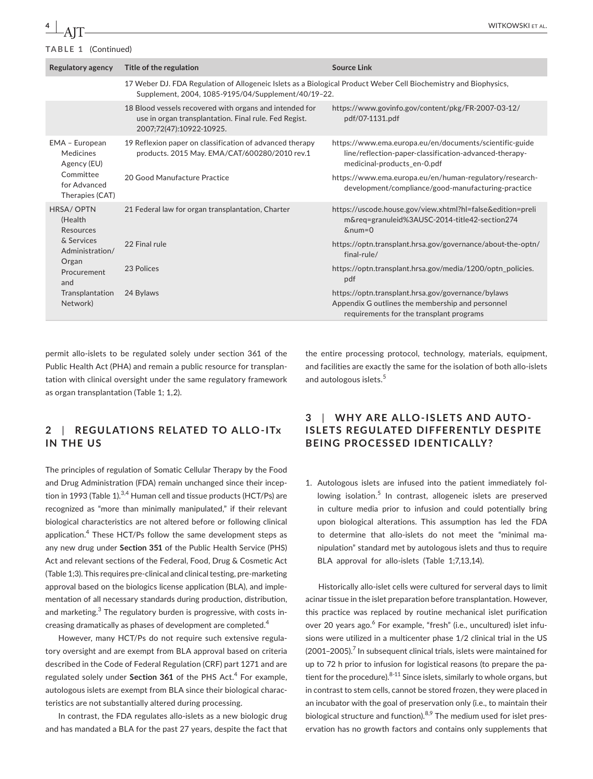| TABLE 1 (Continued)                          |                                                                                                                                                                         |                                                                                                                                                    |  |  |  |  |
|----------------------------------------------|-------------------------------------------------------------------------------------------------------------------------------------------------------------------------|----------------------------------------------------------------------------------------------------------------------------------------------------|--|--|--|--|
| <b>Regulatory agency</b>                     | Title of the regulation                                                                                                                                                 | <b>Source Link</b>                                                                                                                                 |  |  |  |  |
|                                              | 17 Weber DJ. FDA Regulation of Allogeneic Islets as a Biological Product Weber Cell Biochemistry and Biophysics,<br>Supplement, 2004, 1085-9195/04/Supplement/40/19-22. |                                                                                                                                                    |  |  |  |  |
|                                              | 18 Blood vessels recovered with organs and intended for<br>use in organ transplantation. Final rule. Fed Regist.<br>2007;72(47):10922-10925.                            | https://www.govinfo.gov/content/pkg/FR-2007-03-12/<br>pdf/07-1131.pdf                                                                              |  |  |  |  |
| EMA - European<br>Medicines<br>Agency (EU)   | 19 Reflexion paper on classification of advanced therapy<br>products. 2015 May. EMA/CAT/600280/2010 rev.1                                                               | https://www.ema.europa.eu/en/documents/scientific-guide<br>line/reflection-paper-classification-advanced-therapy-<br>medicinal-products en-0.pdf   |  |  |  |  |
| Committee<br>for Advanced<br>Therapies (CAT) | 20 Good Manufacture Practice                                                                                                                                            | https://www.ema.europa.eu/en/human-regulatory/research-<br>development/compliance/good-manufacturing-practice                                      |  |  |  |  |
| HRSA/OPTN<br>(Health<br>Resources            | 21 Federal law for organ transplantation, Charter                                                                                                                       | https://uscode.house.gov/view.xhtml?hl=false&edition=preli<br>m&req=granuleid%3AUSC-2014-title42-section274<br>$&$ num=0                           |  |  |  |  |
| & Services<br>Administration/                | 22 Final rule                                                                                                                                                           | https://optn.transplant.hrsa.gov/governance/about-the-optn/<br>final-rule/                                                                         |  |  |  |  |
| Organ<br>Procurement<br>and                  | 23 Polices                                                                                                                                                              | https://optn.transplant.hrsa.gov/media/1200/optn_policies.<br>pdf                                                                                  |  |  |  |  |
| Transplantation<br>Network)                  | 24 Bylaws                                                                                                                                                               | https://optn.transplant.hrsa.gov/governance/bylaws<br>Appendix G outlines the membership and personnel<br>requirements for the transplant programs |  |  |  |  |

permit allo-islets to be regulated solely under section 361 of the Public Health Act (PHA) and remain a public resource for transplantation with clinical oversight under the same regulatory framework as organ transplantation (Table 1; 1,2).

**2**  | **REGUL ATIONS REL ATED TO ALLO -ITx IN THE US**

The principles of regulation of Somatic Cellular Therapy by the Food and Drug Administration (FDA) remain unchanged since their inception in 1993 (Table 1). $3,4$  Human cell and tissue products (HCT/Ps) are recognized as "more than minimally manipulated," if their relevant biological characteristics are not altered before or following clinical application.<sup>4</sup> These HCT/Ps follow the same development steps as any new drug under **Section 351** of the Public Health Service (PHS) Act and relevant sections of the Federal, Food, Drug & Cosmetic Act (Table 1;3). This requires pre-clinical and clinical testing, pre-marketing approval based on the biologics license application (BLA), and implementation of all necessary standards during production, distribution, and marketing.<sup>3</sup> The regulatory burden is progressive, with costs increasing dramatically as phases of development are completed.<sup>4</sup>

However, many HCT/Ps do not require such extensive regulatory oversight and are exempt from BLA approval based on criteria described in the Code of Federal Regulation (CRF) part 1271 and are regulated solely under **Section 361** of the PHS Act.<sup>4</sup> For example, autologous islets are exempt from BLA since their biological characteristics are not substantially altered during processing.

In contrast, the FDA regulates allo-islets as a new biologic drug and has mandated a BLA for the past 27 years, despite the fact that

the entire processing protocol, technology, materials, equipment, and facilities are exactly the same for the isolation of both allo-islets and autologous islets.<sup>5</sup>

# **3**  | **WHY ARE ALLO-ISLETS AND AUTO-ISLETS REGUL ATED DIFFERENTLY DESPITE BEING PROCESSED IDENTICALLY?**

1. Autologous islets are infused into the patient immediately following isolation.<sup>5</sup> In contrast, allogeneic islets are preserved in culture media prior to infusion and could potentially bring upon biological alterations. This assumption has led the FDA to determine that allo-islets do not meet the "minimal manipulation" standard met by autologous islets and thus to require BLA approval for allo-islets (Table 1;7,13,14).

Historically allo-islet cells were cultured for serveral days to limit acinar tissue in the islet preparation before transplantation. However, this practice was replaced by routine mechanical islet purification over 20 years ago.<sup>6</sup> For example, "fresh" (i.e., uncultured) islet infusions were utilized in a multicenter phase 1/2 clinical trial in the US  $(2001-2005)$ .<sup>7</sup> In subsequent clinical trials, islets were maintained for up to 72 h prior to infusion for logistical reasons (to prepare the patient for the procedure).  $8-11$  Since islets, similarly to whole organs, but in contrast to stem cells, cannot be stored frozen, they were placed in an incubator with the goal of preservation only (i.e., to maintain their biological structure and function). $8.9$  The medium used for islet preservation has no growth factors and contains only supplements that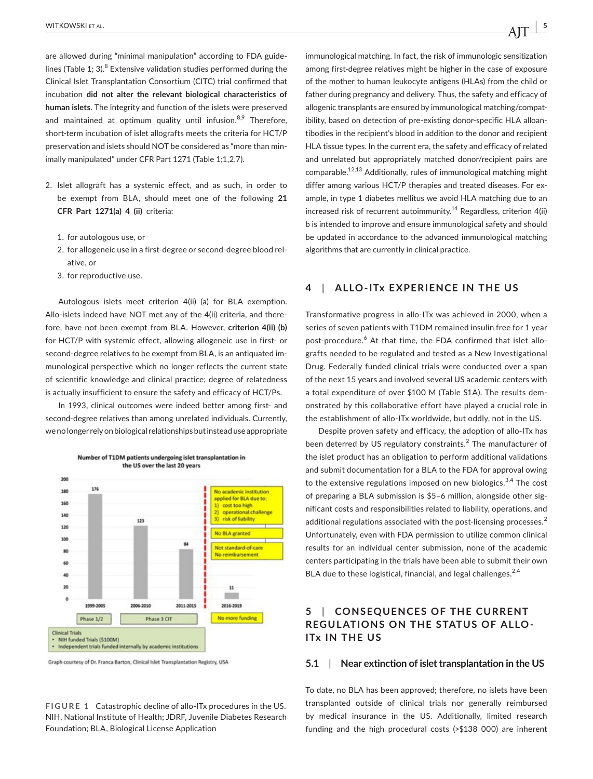are allowed during "minimal manipulation" according to FDA guidelines (Table 1; 3). $^8$  Extensive validation studies performed during the Clinical Islet Transplantation Consortium (CITC) trial confirmed that incubation **did not alter the relevant biological characteristics of human islets**. The integrity and function of the islets were preserved and maintained at optimum quality until infusion. $8,9$  Therefore, short-term incubation of islet allografts meets the criteria for HCT/P preservation and islets should NOT be considered as "more than minimally manipulated" under CFR Part 1271 (Table 1;1,2,7).

- 2. Islet allograft has a systemic effect, and as such, in order to be exempt from BLA, should meet one of the following **21 CFR Part 1271(a) 4 (ii)** criteria:
	- 1. for autologous use, or
	- 2. for allogeneic use in a first-degree or second-degree blood relative, or
	- 3. for reproductive use.

Autologous islets meet criterion 4(ii) (a) for BLA exemption. Allo-islets indeed have NOT met any of the 4(ii) criteria, and therefore, have not been exempt from BLA. However, **criterion 4(ii) (b)** for HCT/P with systemic effect, allowing allogeneic use in first- or second-degree relatives to be exempt from BLA, is an antiquated immunological perspective which no longer reflects the current state of scientific knowledge and clinical practice; degree of relatedness is actually insufficient to ensure the safety and efficacy of HCT/Ps.

In 1993, clinical outcomes were indeed better among first- and second-degree relatives than among unrelated individuals. Currently, we no longer rely on biological relationships but instead use appropriate



Graph courtesy of Dr. Franca Barton, Clinical Islet Transplantation Registry, USA

**FIGURE 1** Catastrophic decline of allo-ITx procedures in the US. NIH, National Institute of Health; JDRF, Juvenile Diabetes Research Foundation; BLA, Biological License Application

immunological matching. In fact, the risk of immunologic sensitization among first-degree relatives might be higher in the case of exposure of the mother to human leukocyte antigens (HLAs) from the child or father during pregnancy and delivery. Thus, the safety and efficacy of allogenic transplants are ensured by immunological matching/compatibility, based on detection of pre-existing donor-specific HLA alloantibodies in the recipient's blood in addition to the donor and recipient HLA tissue types. In the current era, the safety and efficacy of related and unrelated but appropriately matched donor/recipient pairs are comparable.12,13 Additionally, rules of immunological matching might differ among various HCT/P therapies and treated diseases. For example, in type 1 diabetes mellitus we avoid HLA matching due to an increased risk of recurrent autoimmunity.<sup>14</sup> Regardless, criterion 4(ii) b is intended to improve and ensure immunological safety and should be updated in accordance to the advanced immunological matching algorithms that are currently in clinical practice.

## **4**  | **ALLO-ITx EXPERIENCE IN THE US**

Transformative progress in allo-ITx was achieved in 2000, when a series of seven patients with T1DM remained insulin free for 1 year post-procedure.<sup>6</sup> At that time, the FDA confirmed that islet allografts needed to be regulated and tested as a New Investigational Drug. Federally funded clinical trials were conducted over a span of the next 15 years and involved several US academic centers with a total expenditure of over \$100 M (Table S1A). The results demonstrated by this collaborative effort have played a crucial role in the establishment of allo-ITx worldwide, but oddly, not in the US.

Despite proven safety and efficacy, the adoption of allo-ITx has been deterred by US regulatory constraints.<sup>2</sup> The manufacturer of the islet product has an obligation to perform additional validations and submit documentation for a BLA to the FDA for approval owing to the extensive regulations imposed on new biologics.<sup>3,4</sup> The cost of preparing a BLA submission is \$5–6 million, alongside other significant costs and responsibilities related to liability, operations, and additional regulations associated with the post-licensing processes.<sup>2</sup> Unfortunately, even with FDA permission to utilize common clinical results for an individual center submission, none of the academic centers participating in the trials have been able to submit their own BLA due to these logistical, financial, and legal challenges.<sup>2,4</sup>

# **5**  | **CONSEQUENCES OF THE CURRENT REGULATIONS ON THE STATUS OF ALLO-ITx IN THE US**

## **5.1**  | **Near extinction of islet transplantation in the US**

To date, no BLA has been approved; therefore, no islets have been transplanted outside of clinical trials nor generally reimbursed by medical insurance in the US. Additionally, limited research funding and the high procedural costs (>\$138 000) are inherent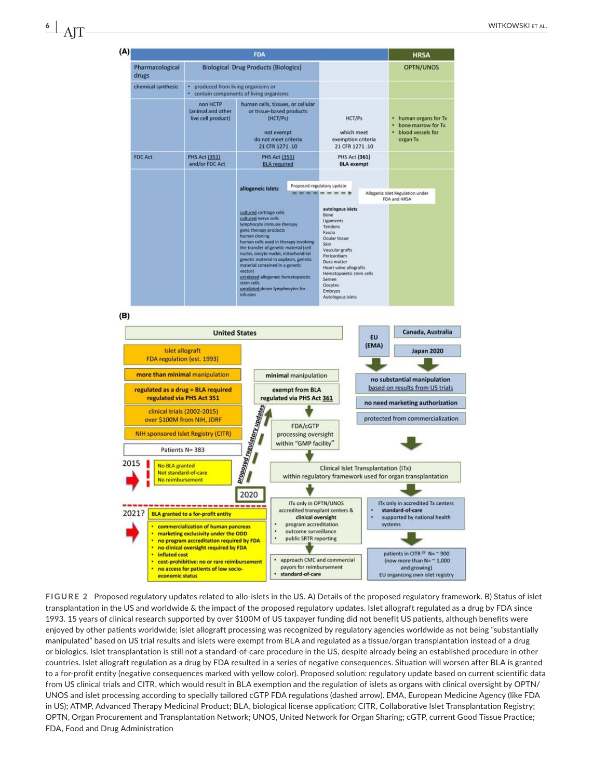| (A) |                                                                                                                                                                                                       |                                                     | <b>FDA</b>                                                                                                                                                                                                                                                                                                                                                                                                                                         |                      |                                                                                                                                                                                                                                                        |                                                                | <b>HRSA</b>                                                                  |  |
|-----|-------------------------------------------------------------------------------------------------------------------------------------------------------------------------------------------------------|-----------------------------------------------------|----------------------------------------------------------------------------------------------------------------------------------------------------------------------------------------------------------------------------------------------------------------------------------------------------------------------------------------------------------------------------------------------------------------------------------------------------|----------------------|--------------------------------------------------------------------------------------------------------------------------------------------------------------------------------------------------------------------------------------------------------|----------------------------------------------------------------|------------------------------------------------------------------------------|--|
|     | Pharmacological<br>drugs                                                                                                                                                                              | <b>Biological Drug Products (Biologics)</b>         |                                                                                                                                                                                                                                                                                                                                                                                                                                                    |                      |                                                                                                                                                                                                                                                        | OPTN/UNOS                                                      |                                                                              |  |
|     | chemical synthesis                                                                                                                                                                                    |                                                     | • produced from living organisms or<br>contain components of living organisms                                                                                                                                                                                                                                                                                                                                                                      |                      |                                                                                                                                                                                                                                                        |                                                                |                                                                              |  |
|     |                                                                                                                                                                                                       | non HCTP<br>(animal and other<br>live cell product) | human cells, tissues, or cellular<br>or tissue-based products<br>(HCT/Ps)<br>not exempt<br>do not meet criteria<br>21 CFR 1271.10<br><b>PHS Act (351)</b><br><b>BLA required</b>                                                                                                                                                                                                                                                                   |                      | HCT/Ps<br>which meet<br>exemption criteria<br>21 CFR 1271.10                                                                                                                                                                                           |                                                                | • human organs for Tx<br>bone marrow for Tx<br>blood vessels for<br>organ Tx |  |
|     | <b>FDC Act</b>                                                                                                                                                                                        | <b>PHS Act (351)</b><br>and/or FDC Act              |                                                                                                                                                                                                                                                                                                                                                                                                                                                    |                      | <b>PHS Act (361)</b><br><b>BLA</b> exempt                                                                                                                                                                                                              |                                                                |                                                                              |  |
|     |                                                                                                                                                                                                       |                                                     |                                                                                                                                                                                                                                                                                                                                                                                                                                                    |                      |                                                                                                                                                                                                                                                        |                                                                |                                                                              |  |
|     |                                                                                                                                                                                                       | allogeneic Islets                                   |                                                                                                                                                                                                                                                                                                                                                                                                                                                    |                      | Proposed regulatory update<br>-------                                                                                                                                                                                                                  |                                                                | Allogenic Islet Regulation under<br>FDA and HRSA                             |  |
|     |                                                                                                                                                                                                       |                                                     | cultured cartilage cells<br>cultured nerve cells<br>lymphocyte immune therapy<br>gene therapy products<br>human cloning<br>human cells used in therapy involving<br>the transfer of genetic material (cell<br>nuclei, oocyte nuclei, mitochondrial<br>genetic material in ooplasm, genetic<br>material contained in a genetic<br>vector)<br>unrelated allogeneic hematopoietic<br>stem cells<br>unrelated donor lymphocytes for<br><i>infusion</i> |                      | autologous islets<br>Bone<br>Ligaments<br>Tendons<br>Fascia<br>Ocular tissue<br>Skin<br>Vascular grafts<br>Pericardium<br>Dura matter<br>Heart valve allografts<br>Hematopoietic stem cells<br>Semen<br>Oocytes<br><b>Embryos</b><br>Autologous islets |                                                                |                                                                              |  |
| (B) |                                                                                                                                                                                                       |                                                     |                                                                                                                                                                                                                                                                                                                                                                                                                                                    |                      |                                                                                                                                                                                                                                                        |                                                                |                                                                              |  |
|     | <b>United States</b>                                                                                                                                                                                  |                                                     |                                                                                                                                                                                                                                                                                                                                                                                                                                                    |                      | EU<br>(EMA)                                                                                                                                                                                                                                            | Canada, Australia                                              |                                                                              |  |
|     | <b>Islet allograft</b><br>FDA regulation (est. 1993)                                                                                                                                                  |                                                     |                                                                                                                                                                                                                                                                                                                                                                                                                                                    |                      |                                                                                                                                                                                                                                                        |                                                                | <b>Japan 2020</b>                                                            |  |
|     | more than minimal manipulation<br>regulated as a drug = BLA required<br>regulated via PHS Act 351<br>clinical trials (2002-2015)<br>over \$100M from NIH, JDRF<br>NIH sponsored Islet Registry (CITR) |                                                     |                                                                                                                                                                                                                                                                                                                                                                                                                                                    | minimal manipulation |                                                                                                                                                                                                                                                        |                                                                |                                                                              |  |
|     |                                                                                                                                                                                                       |                                                     | exempt from BLA<br>regulated via PHS Act 361<br><b>Broposed regulatory updates</b><br>FDA/cGTP<br>processing oversight                                                                                                                                                                                                                                                                                                                             |                      |                                                                                                                                                                                                                                                        | no substantial manipulation<br>based on results from US trials |                                                                              |  |
|     |                                                                                                                                                                                                       |                                                     |                                                                                                                                                                                                                                                                                                                                                                                                                                                    |                      |                                                                                                                                                                                                                                                        | no need marketing authorization                                |                                                                              |  |
|     |                                                                                                                                                                                                       |                                                     |                                                                                                                                                                                                                                                                                                                                                                                                                                                    |                      |                                                                                                                                                                                                                                                        | protected from commercialization                               |                                                                              |  |
|     |                                                                                                                                                                                                       |                                                     |                                                                                                                                                                                                                                                                                                                                                                                                                                                    |                      |                                                                                                                                                                                                                                                        |                                                                |                                                                              |  |
|     | Patients N= 383                                                                                                                                                                                       | within "GMP facility"                               |                                                                                                                                                                                                                                                                                                                                                                                                                                                    |                      |                                                                                                                                                                                                                                                        |                                                                |                                                                              |  |
|     | 2015<br>No BLA granted<br>Not standard-of-care<br>No reimbursement                                                                                                                                    |                                                     | Clinical Islet Transplantation (ITx)<br>within regulatory framework used for organ transplantation                                                                                                                                                                                                                                                                                                                                                 |                      |                                                                                                                                                                                                                                                        |                                                                |                                                                              |  |
|     |                                                                                                                                                                                                       |                                                     | 2020                                                                                                                                                                                                                                                                                                                                                                                                                                               |                      |                                                                                                                                                                                                                                                        |                                                                |                                                                              |  |

**FIGURE 2** Proposed regulatory updates related to allo-islets in the US. A) Details of the proposed regulatory framework. B) Status of islet transplantation in the US and worldwide & the impact of the proposed regulatory updates. Islet allograft regulated as a drug by FDA since 1993. 15 years of clinical research supported by over \$100M of US taxpayer funding did not benefit US patients, although benefits were enjoyed by other patients worldwide; islet allograft processing was recognized by regulatory agencies worldwide as not being "substantially manipulated" based on US trial results and islets were exempt from BLA and regulated as a tissue/organ transplantation instead of a drug or biologics. Islet transplantation is still not a standard-of-care procedure in the US, despite already being an established procedure in other countries. Islet allograft regulation as a drug by FDA resulted in a series of negative consequences. Situation will worsen after BLA is granted to a for-profit entity (negative consequences marked with yellow color). Proposed solution: regulatory update based on current scientific data from US clinical trials and CITR, which would result in BLA exemption and the regulation of islets as organs with clinical oversight by OPTN/ UNOS and islet processing according to specially tailored cGTP FDA regulations (dashed arrow). EMA, European Medicine Agency (like FDA in US); ATMP, Advanced Therapy Medicinal Product; BLA, biological license application; CITR, Collaborative Islet Transplantation Registry; OPTN, Organ Procurement and Transplantation Network; UNOS, United Network for Organ Sharing; cGTP, current Good Tissue Practice; FDA, Food and Drug Administration

ITx only in OPTN/UNOS

accredited transplant centers &

clinical oversight

approach CMC and commercial

program accreditation

outcome surveillance

public SRTR reporting

payors for reimbursement

standard-of-care

2021? BLA granted to a for-profit entity

inflated cost

economic status

commercialization of human pancreas

no program accreditation required by FDA no clinical oversight required by FDA

cost-prohibitive: no or rare reimbursement

marketing exclusivity under the ODD

no access for patients of low socio-

ITx only in accredited Tx centers

supported by national health

patients in CITR<sup>29</sup> N= ~ 900

(now more than  $N = \sim 1,000$ 

and growing)

EU organizing own islet registry

standard-of-care

systems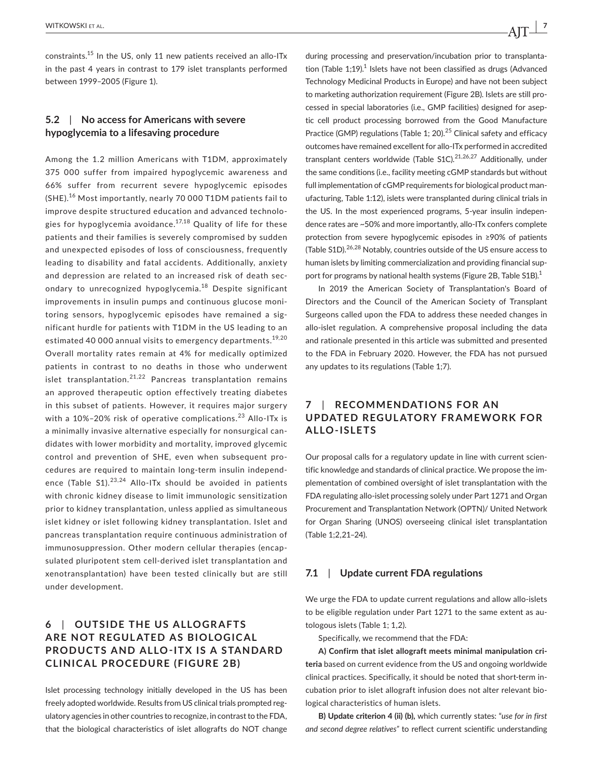constraints.15 In the US, only 11 new patients received an allo-ITx in the past 4 years in contrast to 179 islet transplants performed between 1999–2005 (Figure 1).

## **5.2**  | **No access for Americans with severe hypoglycemia to a lifesaving procedure**

Among the 1.2 million Americans with T1DM, approximately 375 000 suffer from impaired hypoglycemic awareness and 66% suffer from recurrent severe hypoglycemic episodes (SHE).<sup>16</sup> Most importantly, nearly 70 000 T1DM patients fail to improve despite structured education and advanced technologies for hypoglycemia avoidance.<sup>17,18</sup> Quality of life for these patients and their families is severely compromised by sudden and unexpected episodes of loss of consciousness, frequently leading to disability and fatal accidents. Additionally, anxiety and depression are related to an increased risk of death secondary to unrecognized hypoglycemia.<sup>18</sup> Despite significant improvements in insulin pumps and continuous glucose monitoring sensors, hypoglycemic episodes have remained a significant hurdle for patients with T1DM in the US leading to an estimated 40 000 annual visits to emergency departments.<sup>19,20</sup> Overall mortality rates remain at 4% for medically optimized patients in contrast to no deaths in those who underwent islet transplantation.<sup>21,22</sup> Pancreas transplantation remains an approved therapeutic option effectively treating diabetes in this subset of patients. However, it requires major surgery with a 10%–20% risk of operative complications.<sup>23</sup> Allo-ITx is a minimally invasive alternative especially for nonsurgical candidates with lower morbidity and mortality, improved glycemic control and prevention of SHE, even when subsequent procedures are required to maintain long-term insulin independence (Table  $S1$ ).<sup>23,24</sup> Allo-ITx should be avoided in patients with chronic kidney disease to limit immunologic sensitization prior to kidney transplantation, unless applied as simultaneous islet kidney or islet following kidney transplantation. Islet and pancreas transplantation require continuous administration of immunosuppression. Other modern cellular therapies (encapsulated pluripotent stem cell-derived islet transplantation and xenotransplantation) have been tested clinically but are still under development.

# **6** | OUTSIDE THE US ALLOGRAFTS **ARE NOT REGULATED AS BIOLOGICAL PRODUCTS AND ALLO-ITX IS A STANDARD CLINICAL PROCEDURE (FIGURE 2B)**

Islet processing technology initially developed in the US has been freely adopted worldwide. Results from US clinical trials prompted regulatory agencies in other countries to recognize, in contrast to the FDA, that the biological characteristics of islet allografts do NOT change during processing and preservation/incubation prior to transplantation (Table  $1;19$ ).<sup>1</sup> Islets have not been classified as drugs (Advanced Technology Medicinal Products in Europe) and have not been subject to marketing authorization requirement (Figure 2B). Islets are still processed in special laboratories (i.e., GMP facilities) designed for aseptic cell product processing borrowed from the Good Manufacture Practice (GMP) regulations (Table 1; 20).<sup>25</sup> Clinical safety and efficacy outcomes have remained excellent for allo-ITx performed in accredited transplant centers worldwide (Table S1C).<sup>21,26,27</sup> Additionally, under the same conditions (i.e., facility meeting cGMP standards but without full implementation of cGMP requirements for biological product manufacturing, Table 1:12), islets were transplanted during clinical trials in the US. In the most experienced programs, 5-year insulin independence rates are ~50% and more importantly, allo-ITx confers complete protection from severe hypoglycemic episodes in ≥90% of patients (Table S1D).<sup>26,28</sup> Notably, countries outside of the US ensure access to human islets by limiting commercialization and providing financial support for programs by national health systems (Figure 2B, Table S1B).<sup>1</sup>

In 2019 the American Society of Transplantation's Board of Directors and the Council of the American Society of Transplant Surgeons called upon the FDA to address these needed changes in allo-islet regulation. A comprehensive proposal including the data and rationale presented in this article was submitted and presented to the FDA in February 2020. However, the FDA has not pursued any updates to its regulations (Table 1;7).

# **7**  | **RECOMMENDATIONS FOR AN UPDATED REGUL ATORY FR AME WORK FOR ALLO-ISLETS**

Our proposal calls for a regulatory update in line with current scientific knowledge and standards of clinical practice. We propose the implementation of combined oversight of islet transplantation with the FDA regulating allo-islet processing solely under Part 1271 and Organ Procurement and Transplantation Network (OPTN)/ United Network for Organ Sharing (UNOS) overseeing clinical islet transplantation (Table 1;2,21–24).

## **7.1**  | **Update current FDA regulations**

We urge the FDA to update current regulations and allow allo-islets to be eligible regulation under Part 1271 to the same extent as autologous islets (Table 1; 1,2).

Specifically, we recommend that the FDA:

**A) Confirm that islet allograft meets minimal manipulation criteria** based on current evidence from the US and ongoing worldwide clinical practices. Specifically, it should be noted that short-term incubation prior to islet allograft infusion does not alter relevant biological characteristics of human islets.

**B) Update criterion 4 (ii) (b),** which currently states: "*use for in first and second degree relatives"* to reflect current scientific understanding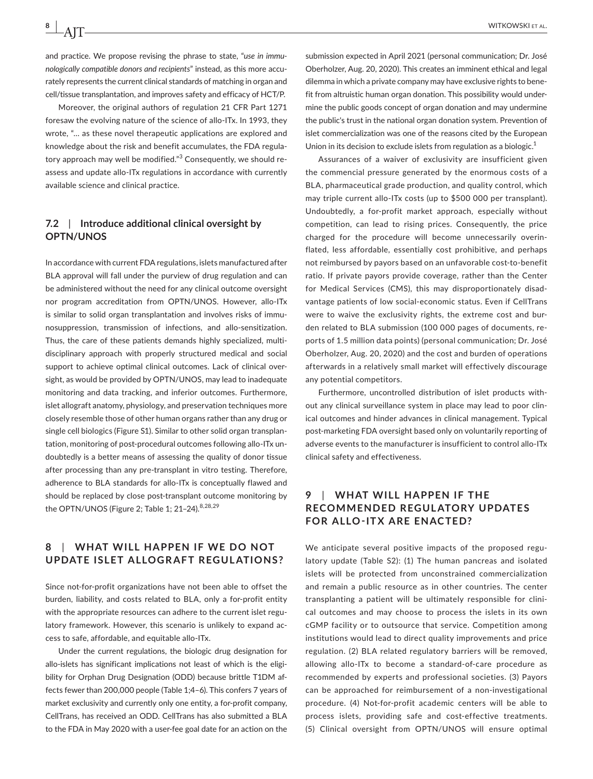and practice. We propose revising the phrase to state, "*use in immunologically compatible donors and recipients*" instead, as this more accurately represents the current clinical standards of matching in organ and cell/tissue transplantation, and improves safety and efficacy of HCT/P.

Moreover, the original authors of regulation 21 CFR Part 1271 foresaw the evolving nature of the science of allo-ITx. In 1993, they wrote, "… as these novel therapeutic applications are explored and knowledge about the risk and benefit accumulates, the FDA regulatory approach may well be modified."<sup>3</sup> Consequently, we should reassess and update allo-ITx regulations in accordance with currently available science and clinical practice.

## **7.2**  | **Introduce additional clinical oversight by OPTN/UNOS**

In accordance with current FDA regulations, islets manufactured after BLA approval will fall under the purview of drug regulation and can be administered without the need for any clinical outcome oversight nor program accreditation from OPTN/UNOS. However, allo-ITx is similar to solid organ transplantation and involves risks of immunosuppression, transmission of infections, and allo-sensitization. Thus, the care of these patients demands highly specialized, multidisciplinary approach with properly structured medical and social support to achieve optimal clinical outcomes. Lack of clinical oversight, as would be provided by OPTN/UNOS, may lead to inadequate monitoring and data tracking, and inferior outcomes. Furthermore, islet allograft anatomy, physiology, and preservation techniques more closely resemble those of other human organs rather than any drug or single cell biologics (Figure S1). Similar to other solid organ transplantation, monitoring of post-procedural outcomes following allo-ITx undoubtedly is a better means of assessing the quality of donor tissue after processing than any pre-transplant in vitro testing. Therefore, adherence to BLA standards for allo-ITx is conceptually flawed and should be replaced by close post-transplant outcome monitoring by the OPTN/UNOS (Figure 2; Table 1; 21-24).<sup>8,28,29</sup>

## **8**  | **WHAT WILL HAPPEN IF WE DO NOT UPDATE ISLET ALLOGRAFT REGULATIONS?**

Since not-for-profit organizations have not been able to offset the burden, liability, and costs related to BLA, only a for-profit entity with the appropriate resources can adhere to the current islet regulatory framework. However, this scenario is unlikely to expand access to safe, affordable, and equitable allo-ITx.

Under the current regulations, the biologic drug designation for allo-islets has significant implications not least of which is the eligibility for Orphan Drug Designation (ODD) because brittle T1DM affects fewer than 200,000 people (Table 1;4–6). This confers 7 years of market exclusivity and currently only one entity, a for-profit company, CellTrans, has received an ODD. CellTrans has also submitted a BLA to the FDA in May 2020 with a user-fee goal date for an action on the

submission expected in April 2021 (personal communication; Dr. José Oberholzer, Aug. 20, 2020). This creates an imminent ethical and legal dilemma in which a private company may have exclusive rights to benefit from altruistic human organ donation. This possibility would undermine the public goods concept of organ donation and may undermine the public's trust in the national organ donation system. Prevention of islet commercialization was one of the reasons cited by the European Union in its decision to exclude islets from regulation as a biologic.<sup>1</sup>

Assurances of a waiver of exclusivity are insufficient given the commencial pressure generated by the enormous costs of a BLA, pharmaceutical grade production, and quality control, which may triple current allo-ITx costs (up to \$500 000 per transplant). Undoubtedly, a for-profit market approach, especially without competition, can lead to rising prices. Consequently, the price charged for the procedure will become unnecessarily overinflated, less affordable, essentially cost prohibitive, and perhaps not reimbursed by payors based on an unfavorable cost-to-benefit ratio. If private payors provide coverage, rather than the Center for Medical Services (CMS), this may disproportionately disadvantage patients of low social-economic status. Even if CellTrans were to waive the exclusivity rights, the extreme cost and burden related to BLA submission (100 000 pages of documents, reports of 1.5 million data points) (personal communication; Dr. José Oberholzer, Aug. 20, 2020) and the cost and burden of operations afterwards in a relatively small market will effectively discourage any potential competitors.

Furthermore, uncontrolled distribution of islet products without any clinical surveillance system in place may lead to poor clinical outcomes and hinder advances in clinical management. Typical post-marketing FDA oversight based only on voluntarily reporting of adverse events to the manufacturer is insufficient to control allo-ITx clinical safety and effectiveness.

# **9**  | **WHAT WILL HAPPEN IF THE RECOMMENDED REGULATORY UPDATES FOR ALLO-ITX ARE ENACTED?**

We anticipate several positive impacts of the proposed regulatory update (Table S2): (1) The human pancreas and isolated islets will be protected from unconstrained commercialization and remain a public resource as in other countries. The center transplanting a patient will be ultimately responsible for clinical outcomes and may choose to process the islets in its own cGMP facility or to outsource that service. Competition among institutions would lead to direct quality improvements and price regulation. (2) BLA related regulatory barriers will be removed, allowing allo-ITx to become a standard-of-care procedure as recommended by experts and professional societies. (3) Payors can be approached for reimbursement of a non-investigational procedure. (4) Not-for-profit academic centers will be able to process islets, providing safe and cost-effective treatments. (5) Clinical oversight from OPTN/UNOS will ensure optimal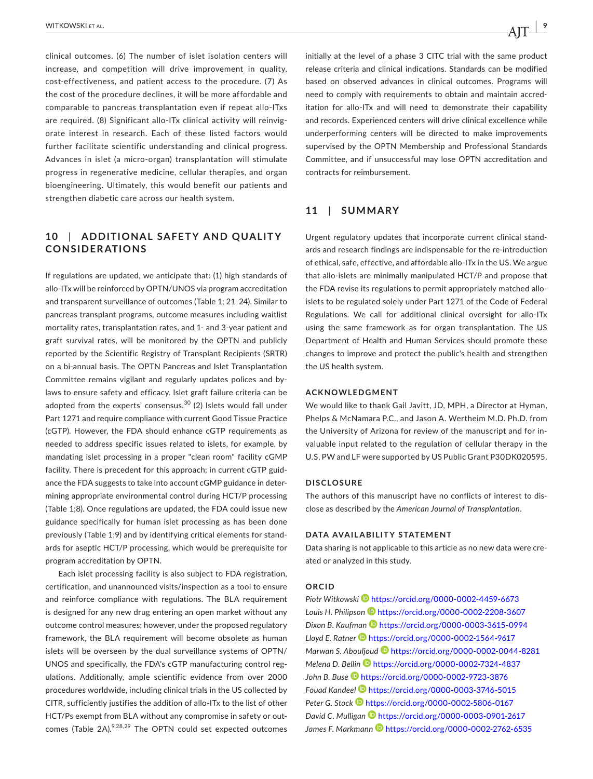clinical outcomes. (6) The number of islet isolation centers will increase, and competition will drive improvement in quality, cost-effectiveness, and patient access to the procedure. (7) As the cost of the procedure declines, it will be more affordable and comparable to pancreas transplantation even if repeat allo-ITxs are required. (8) Significant allo-ITx clinical activity will reinvigorate interest in research. Each of these listed factors would further facilitate scientific understanding and clinical progress. Advances in islet (a micro-organ) transplantation will stimulate progress in regenerative medicine, cellular therapies, and organ bioengineering. Ultimately, this would benefit our patients and strengthen diabetic care across our health system.

# 10 | ADDITIONAL SAFETY AND QUALITY **CONSIDERATIONS**

If regulations are updated, we anticipate that: (1) high standards of allo-ITx will be reinforced by OPTN/UNOS via program accreditation and transparent surveillance of outcomes (Table 1; 21–24). Similar to pancreas transplant programs, outcome measures including waitlist mortality rates, transplantation rates, and 1- and 3-year patient and graft survival rates, will be monitored by the OPTN and publicly reported by the Scientific Registry of Transplant Recipients (SRTR) on a bi-annual basis. The OPTN Pancreas and Islet Transplantation Committee remains vigilant and regularly updates polices and bylaws to ensure safety and efficacy. Islet graft failure criteria can be adopted from the experts' consensus.<sup>30</sup> (2) Islets would fall under Part 1271 and require compliance with current Good Tissue Practice (cGTP). However, the FDA should enhance cGTP requirements as needed to address specific issues related to islets, for example, by mandating islet processing in a proper "clean room" facility cGMP facility. There is precedent for this approach; in current cGTP guidance the FDA suggests to take into account cGMP guidance in determining appropriate environmental control during HCT/P processing (Table 1;8). Once regulations are updated, the FDA could issue new guidance specifically for human islet processing as has been done previously (Table 1;9) and by identifying critical elements for standards for aseptic HCT/P processing, which would be prerequisite for program accreditation by OPTN.

Each islet processing facility is also subject to FDA registration, certification, and unannounced visits/inspection as a tool to ensure and reinforce compliance with regulations. The BLA requirement is designed for any new drug entering an open market without any outcome control measures; however, under the proposed regulatory framework, the BLA requirement will become obsolete as human islets will be overseen by the dual surveillance systems of OPTN/ UNOS and specifically, the FDA's cGTP manufacturing control regulations. Additionally, ample scientific evidence from over 2000 procedures worldwide, including clinical trials in the US collected by CITR, sufficiently justifies the addition of allo-ITx to the list of other HCT/Ps exempt from BLA without any compromise in safety or outcomes (Table 2A).<sup>9,28,29</sup> The OPTN could set expected outcomes

initially at the level of a phase 3 CITC trial with the same product release criteria and clinical indications. Standards can be modified based on observed advances in clinical outcomes. Programs will need to comply with requirements to obtain and maintain accreditation for allo-ITx and will need to demonstrate their capability and records. Experienced centers will drive clinical excellence while underperforming centers will be directed to make improvements supervised by the OPTN Membership and Professional Standards Committee, and if unsuccessful may lose OPTN accreditation and contracts for reimbursement.

## **11**  | **SUMMARY**

Urgent regulatory updates that incorporate current clinical standards and research findings are indispensable for the re-introduction of ethical, safe, effective, and affordable allo-ITx in the US. We argue that allo-islets are minimally manipulated HCT/P and propose that the FDA revise its regulations to permit appropriately matched alloislets to be regulated solely under Part 1271 of the Code of Federal Regulations. We call for additional clinical oversight for allo-ITx using the same framework as for organ transplantation. The US Department of Health and Human Services should promote these changes to improve and protect the public's health and strengthen the US health system.

#### **ACKNOWLEDGMENT**

We would like to thank Gail Javitt, JD, MPH, a Director at Hyman, Phelps & McNamara P.C., and Jason A. Wertheim M.D. Ph.D. from the University of Arizona for review of the manuscript and for invaluable input related to the regulation of cellular therapy in the U.S. PW and LF were supported by US Public Grant P30DK020595.

#### **DISCLOSURE**

The authors of this manuscript have no conflicts of interest to disclose as described by the *American Journal of Transplantation*.

#### **DATA AVAILABILITY STATEMENT**

Data sharing is not applicable to this article as no new data were created or analyzed in this study.

### **ORCID**

*Piotr Witkowsk[i](https://orcid.org/0000-0002-4459-6673)* <https://orcid.org/0000-0002-4459-6673> *Louis H. Philipson* <https://orcid.org/0000-0002-2208-3607> Dixon B. Kaufman **D** <https://orcid.org/0000-0003-3615-0994> *Lloyd E. Ratner* <https://orcid.org/0000-0002-1564-9617> *Marwan S. Abouljoud* <https://orcid.org/0000-0002-0044-8281> *Melena D. Belli[n](https://orcid.org/0000-0002-7324-4837)* <https://orcid.org/0000-0002-7324-4837> *John B. Buse* <https://orcid.org/0000-0002-9723-3876> *Fouad Kandeel* <https://orcid.org/0000-0003-3746-5015> Peter G. Stock<sup>D</sup> <https://orcid.org/0000-0002-5806-0167> *David C. Mulliga[n](https://orcid.org/0000-0003-0901-2617)* <https://orcid.org/0000-0003-0901-2617> James F. Markmann<sup>1</sup> <https://orcid.org/0000-0002-2762-6535>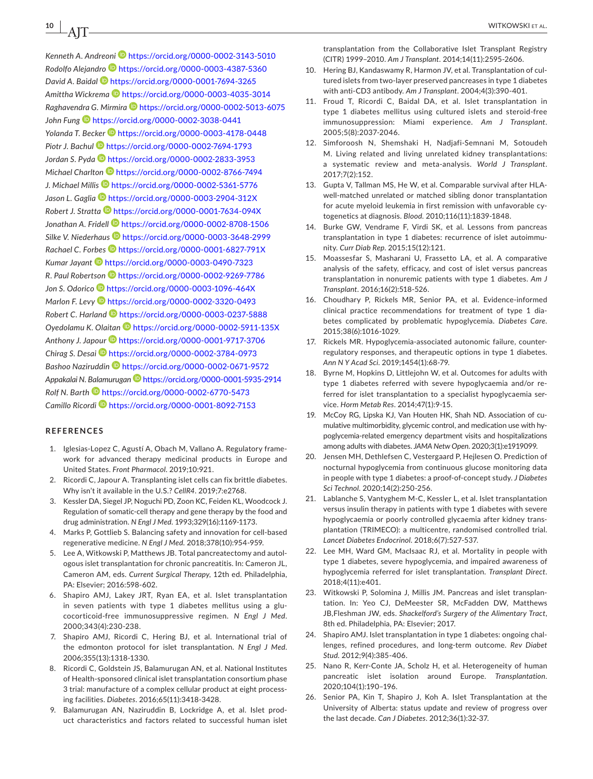*Kenneth A. Andreon[i](https://orcid.org/0000-0002-3143-5010)* <https://orcid.org/0000-0002-3143-5010> *Rodolfo Alejandro* <https://orcid.org/0000-0003-4387-5360> *David A. Baida[l](https://orcid.org/0000-0001-7694-3265)* <https://orcid.org/0000-0001-7694-3265> *Amittha Wickrema* <https://orcid.org/0000-0003-4035-3014> *Raghavendra G. Mirmira* <https://orcid.org/0000-0002-5013-6075> *John Fun[g](https://orcid.org/0000-0002-3038-0441)* <https://orcid.org/0000-0002-3038-0441> *Yolanda T. Becker* <https://orcid.org/0000-0003-4178-0448> *Piotr J. Bachu[l](https://orcid.org/0000-0002-7694-1793)* <https://orcid.org/0000-0002-7694-1793> *Jordan S. Pyda* <https://orcid.org/0000-0002-2833-3953> *Michael Charlton* <https://orcid.org/0000-0002-8766-7494> *J. Michael Milli[s](https://orcid.org/0000-0002-5361-5776)* <https://orcid.org/0000-0002-5361-5776> *Jason L. Gaglia* <https://orcid.org/0000-0003-2904-312X> *Robert J. Stratta* <https://orcid.org/0000-0001-7634-094X> *Jonathan A. Fridel[l](https://orcid.org/0000-0002-8708-1506)* <https://orcid.org/0000-0002-8708-1506> *Silke V. Niederhau[s](https://orcid.org/0000-0003-3648-2999)* <https://orcid.org/0000-0003-3648-2999> *Rachael C. Forbe[s](https://orcid.org/0000-0001-6827-791X)* <https://orcid.org/0000-0001-6827-791X> *Kumar Jayant* <https://orcid.org/0000-0003-0490-7323> *R. Paul Robertson* <https://orcid.org/0000-0002-9269-7786> *Jon S. Odorico* <https://orcid.org/0000-0003-1096-464X> *Marlon F. Lev[y](https://orcid.org/0000-0002-3320-0493)* <https://orcid.org/0000-0002-3320-0493> *Robert C. Harlan[d](https://orcid.org/0000-0003-0237-5888)* <https://orcid.org/0000-0003-0237-5888> *Oyedolamu K. Olaitan* <https://orcid.org/0000-0002-5911-135X> Anthony J. Japour<sup><sup>1</sup> <https://orcid.org/0000-0001-9717-3706></sup> *Chirag S. Desai* <https://orcid.org/0000-0002-3784-0973> *Bashoo Naziruddin* <https://orcid.org/0000-0002-0671-9572> *Appakalai N. Balamuruga[n](https://orcid.org/0000-0001-5935-2914)* <https://orcid.org/0000-0001-5935-2914> *Rolf N. Barth* <https://orcid.org/0000-0002-6770-5473> *Camillo Ricordi* <https://orcid.org/0000-0001-8092-7153>

#### **REFERENCES**

- 1. Iglesias-Lopez C, Agustí A, Obach M, Vallano A. Regulatory framework for advanced therapy medicinal products in Europe and United States. *Front Pharmacol*. 2019;10:921.
- 2. Ricordi C, Japour A. Transplanting islet cells can fix brittle diabetes. Why isn't it available in the U.S.? *CellR4*. 2019;7:e2768.
- 3. Kessler DA, Siegel JP, Noguchi PD, Zoon KC, Feiden KL, Woodcock J. Regulation of somatic-cell therapy and gene therapy by the food and drug administration. *N Engl J Med*. 1993;329(16):1169-1173.
- 4. Marks P, Gottlieb S. Balancing safety and innovation for cell-based regenerative medicine. *N Engl J Med*. 2018;378(10):954-959.
- 5. Lee A, Witkowski P, Matthews JB. Total pancreatectomy and autologous islet transplantation for chronic pancreatitis. In: Cameron JL, Cameron AM, eds. *Current Surgical Therapy*, 12th ed. Philadelphia, PA: Elsevier; 2016:598-602.
- 6. Shapiro AMJ, Lakey JRT, Ryan EA, et al. Islet transplantation in seven patients with type 1 diabetes mellitus using a glucocorticoid-free immunosuppressive regimen. *N Engl J Med*. 2000;343(4):230-238.
- 7. Shapiro AMJ, Ricordi C, Hering BJ, et al. International trial of the edmonton protocol for islet transplantation. *N Engl J Med*. 2006;355(13):1318-1330.
- 8. Ricordi C, Goldstein JS, Balamurugan AN, et al. National Institutes of Health-sponsored clinical islet transplantation consortium phase 3 trial: manufacture of a complex cellular product at eight processing facilities. *Diabetes*. 2016;65(11):3418-3428.
- 9. Balamurugan AN, Naziruddin B, Lockridge A, et al. Islet product characteristics and factors related to successful human islet

transplantation from the Collaborative Islet Transplant Registry (CITR) 1999–2010. *Am J Transplant*. 2014;14(11):2595-2606.

- 10. Hering BJ, Kandaswamy R, Harmon JV, et al. Transplantation of cultured islets from two-layer preserved pancreases in type 1 diabetes with anti-CD3 antibody. *Am J Transplant*. 2004;4(3):390-401.
- 11. Froud T, Ricordi C, Baidal DA, et al. Islet transplantation in type 1 diabetes mellitus using cultured islets and steroid-free immunosuppression: Miami experience. *Am J Transplant*. 2005;5(8):2037-2046.
- 12. Simforoosh N, Shemshaki H, Nadjafi-Semnani M, Sotoudeh M. Living related and living unrelated kidney transplantations: a systematic review and meta-analysis. *World J Transplant*. 2017;7(2):152.
- 13. Gupta V, Tallman MS, He W, et al. Comparable survival after HLAwell-matched unrelated or matched sibling donor transplantation for acute myeloid leukemia in first remission with unfavorable cytogenetics at diagnosis. *Blood*. 2010;116(11):1839-1848.
- 14. Burke GW, Vendrame F, Virdi SK, et al. Lessons from pancreas transplantation in type 1 diabetes: recurrence of islet autoimmunity. *Curr Diab Rep*. 2015;15(12):121.
- 15. Moassesfar S, Masharani U, Frassetto LA, et al. A comparative analysis of the safety, efficacy, and cost of islet versus pancreas transplantation in nonuremic patients with type 1 diabetes. *Am J Transplant*. 2016;16(2):518-526.
- 16. Choudhary P, Rickels MR, Senior PA, et al. Evidence-informed clinical practice recommendations for treatment of type 1 diabetes complicated by problematic hypoglycemia. *Diabetes Care*. 2015;38(6):1016-1029.
- 17. Rickels MR. Hypoglycemia-associated autonomic failure, counterregulatory responses, and therapeutic options in type 1 diabetes. *Ann N Y Acad Sci*. 2019;1454(1):68-79.
- 18. Byrne M, Hopkins D, Littlejohn W, et al. Outcomes for adults with type 1 diabetes referred with severe hypoglycaemia and/or referred for islet transplantation to a specialist hypoglycaemia service. *Horm Metab Res*. 2014;47(1):9-15.
- 19. McCoy RG, Lipska KJ, Van Houten HK, Shah ND. Association of cumulative multimorbidity, glycemic control, and medication use with hypoglycemia-related emergency department visits and hospitalizations among adults with diabetes. *JAMA Netw Open*. 2020;3(1):e1919099.
- 20. Jensen MH, Dethlefsen C, Vestergaard P, Hejlesen O. Prediction of nocturnal hypoglycemia from continuous glucose monitoring data in people with type 1 diabetes: a proof-of-concept study. *J Diabetes Sci Technol*. 2020;14(2):250-256.
- 21. Lablanche S, Vantyghem M-C, Kessler L, et al. Islet transplantation versus insulin therapy in patients with type 1 diabetes with severe hypoglycaemia or poorly controlled glycaemia after kidney transplantation (TRIMECO): a multicentre, randomised controlled trial. *Lancet Diabetes Endocrinol*. 2018;6(7):527-537.
- 22. Lee MH, Ward GM, MacIsaac RJ, et al. Mortality in people with type 1 diabetes, severe hypoglycemia, and impaired awareness of hypoglycemia referred for islet transplantation. *Transplant Direct*. 2018;4(11):e401.
- 23. Witkowski P, Solomina J, Millis JM. Pancreas and islet transplantation. In: Yeo CJ, DeMeester SR, McFadden DW, Matthews JB,Fleshman JW, eds. *Shackelford's Surgery of the Alimentary Tract*, 8th ed. Philadelphia, PA: Elsevier; 2017.
- 24. Shapiro AMJ. Islet transplantation in type 1 diabetes: ongoing challenges, refined procedures, and long-term outcome. *Rev Diabet Stud*. 2012;9(4):385-406.
- 25. Nano R, Kerr-Conte JA, Scholz H, et al. Heterogeneity of human pancreatic islet isolation around Europe. *Transplantation*. 2020;104(1):190–196.
- 26. Senior PA, Kin T, Shapiro J, Koh A. Islet Transplantation at the University of Alberta: status update and review of progress over the last decade. *Can J Diabetes*. 2012;36(1):32-37.